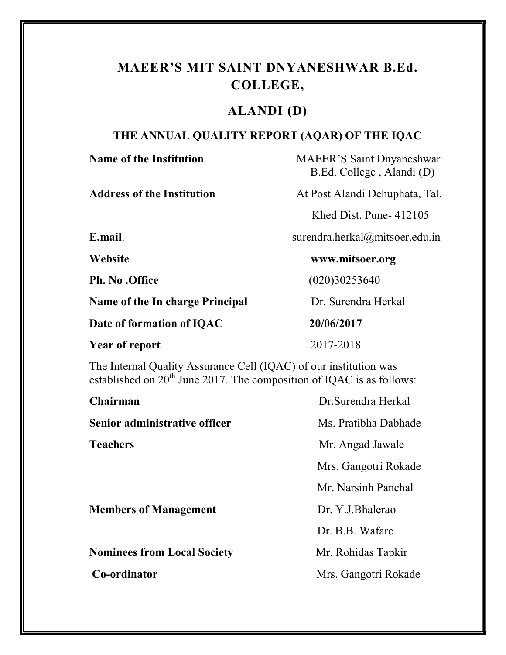#### MAEER'S MIT SAINT DNYANESHWAR B.Ed. COLLEGE,

#### ALANDI (D)

#### THE ANNUAL QUALITY REPORT (AQAR) OF THE IQAC

| <b>Name of the Institution</b>         | <b>MAEER'S Saint Dnyaneshwar</b><br>B.Ed. College, Alandi (D) |
|----------------------------------------|---------------------------------------------------------------|
| Address of the Institution             | At Post Alandi Dehuphata, Tal.                                |
|                                        | Khed Dist. Pune- $412105$                                     |
| E.mail.                                | surendra.herkal@mitsoer.edu.in                                |
| Website                                | www.mitsoer.org                                               |
| <b>Ph. No .Office</b>                  | (020)30253640                                                 |
| <b>Name of the In charge Principal</b> | Dr. Surendra Herkal                                           |
| Date of formation of IQAC              | 20/06/2017                                                    |
| <b>Year of report</b>                  | 2017-2018                                                     |

The Internal Quality Assurance Cell (IQAC) of our institution was established on  $20<sup>th</sup>$  June 2017. The composition of IQAC is as follows:

| Chairman                           | Dr. Surendra Herkal  |
|------------------------------------|----------------------|
| Senior administrative officer      | Ms. Pratibha Dabhade |
| <b>Teachers</b>                    | Mr. Angad Jawale     |
|                                    | Mrs. Gangotri Rokade |
|                                    | Mr. Narsinh Panchal  |
| <b>Members of Management</b>       | Dr. Y.J.Bhalerao     |
|                                    | Dr. B.B. Wafare      |
| <b>Nominees from Local Society</b> | Mr. Rohidas Tapkir   |
| Co-ordinator                       | Mrs. Gangotri Rokade |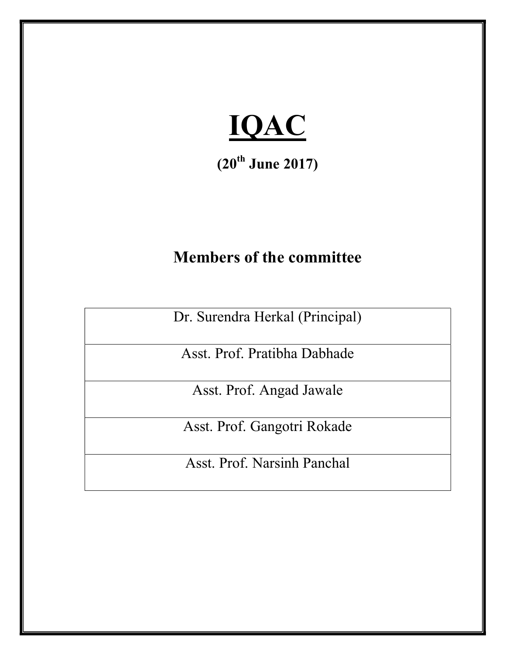

 $(20^{th}$  June 2017)

### Members of the committee

Dr. Surendra Herkal (Principal)

Asst. Prof. Pratibha Dabhade

Asst. Prof. Angad Jawale

Asst. Prof. Gangotri Rokade

Asst. Prof. Narsinh Panchal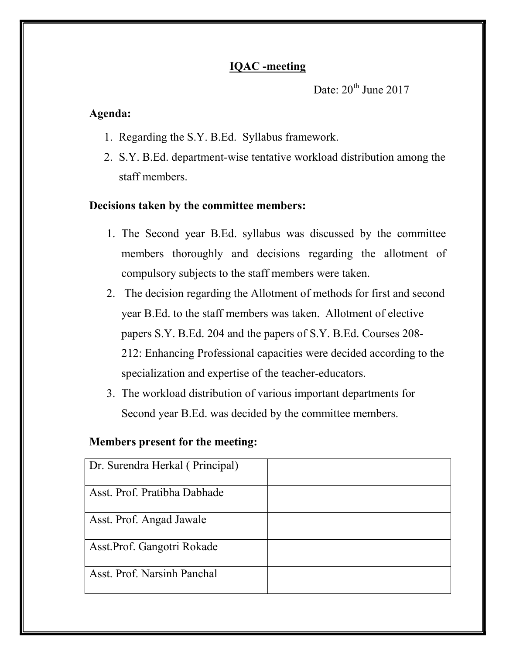Date:  $20^{th}$  June 2017

#### Agenda:

- 1. Regarding the S.Y. B.Ed. Syllabus framework.
- 2. S.Y. B.Ed. department-wise tentative workload distribution among the staff members.

#### Decisions taken by the committee members:

- 1. The Second year B.Ed. syllabus was discussed by the committee members thoroughly and decisions regarding the allotment of compulsory subjects to the staff members were taken.
- 2. The decision regarding the Allotment of methods for first and second year B.Ed. to the staff members was taken. Allotment of elective papers S.Y. B.Ed. 204 and the papers of S.Y. B.Ed. Courses 208- 212: Enhancing Professional capacities were decided according to the specialization and expertise of the teacher-educators.
- 3. The workload distribution of various important departments for Second year B.Ed. was decided by the committee members.

| Dr. Surendra Herkal (Principal) |  |
|---------------------------------|--|
| Asst. Prof. Pratibha Dabhade    |  |
| Asst. Prof. Angad Jawale        |  |
| Asst. Prof. Gangotri Rokade     |  |
| Asst. Prof. Narsinh Panchal     |  |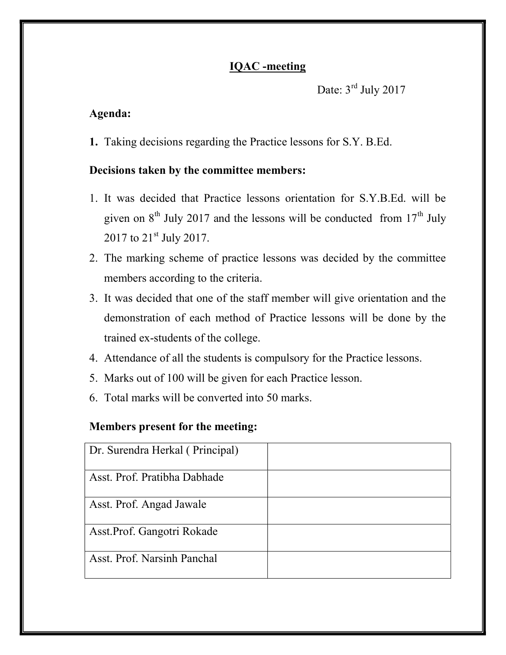```
Date: 3<sup>rd</sup> July 2017
```
#### Agenda:

1. Taking decisions regarding the Practice lessons for S.Y. B.Ed.

#### Decisions taken by the committee members:

- 1. It was decided that Practice lessons orientation for S.Y.B.Ed. will be given on  $8<sup>th</sup>$  July 2017 and the lessons will be conducted from  $17<sup>th</sup>$  July 2017 to 21<sup>st</sup> July 2017.
- 2. The marking scheme of practice lessons was decided by the committee members according to the criteria.
- 3. It was decided that one of the staff member will give orientation and the demonstration of each method of Practice lessons will be done by the trained ex-students of the college.
- 4. Attendance of all the students is compulsory for the Practice lessons.
- 5. Marks out of 100 will be given for each Practice lesson.
- 6. Total marks will be converted into 50 marks.

| Dr. Surendra Herkal (Principal) |  |
|---------------------------------|--|
|                                 |  |
| Asst. Prof. Pratibha Dabhade    |  |
| Asst. Prof. Angad Jawale        |  |
| Asst. Prof. Gangotri Rokade     |  |
| Asst. Prof. Narsinh Panchal     |  |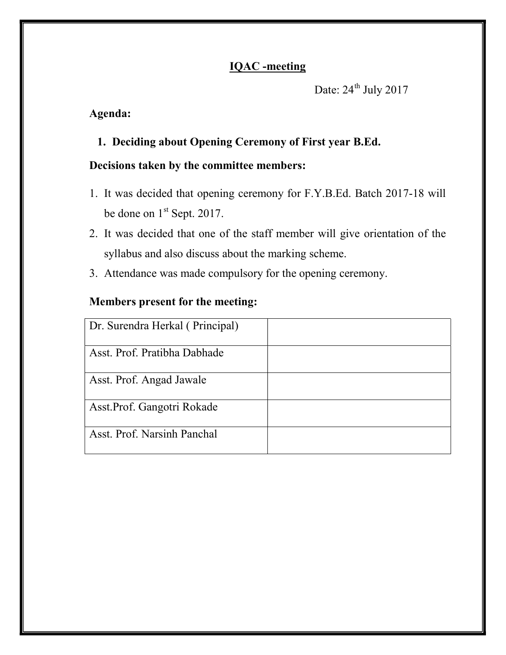Date:  $24^{\text{th}}$  July 2017

#### Agenda:

#### 1. Deciding about Opening Ceremony of First year B.Ed.

#### Decisions taken by the committee members:

- 1. It was decided that opening ceremony for F.Y.B.Ed. Batch 2017-18 will be done on 1<sup>st</sup> Sept. 2017.
- 2. It was decided that one of the staff member will give orientation of the syllabus and also discuss about the marking scheme.
- 3. Attendance was made compulsory for the opening ceremony.

| Dr. Surendra Herkal (Principal) |  |
|---------------------------------|--|
| Asst. Prof. Pratibha Dabhade    |  |
| Asst. Prof. Angad Jawale        |  |
| Asst.Prof. Gangotri Rokade      |  |
| Asst. Prof. Narsinh Panchal     |  |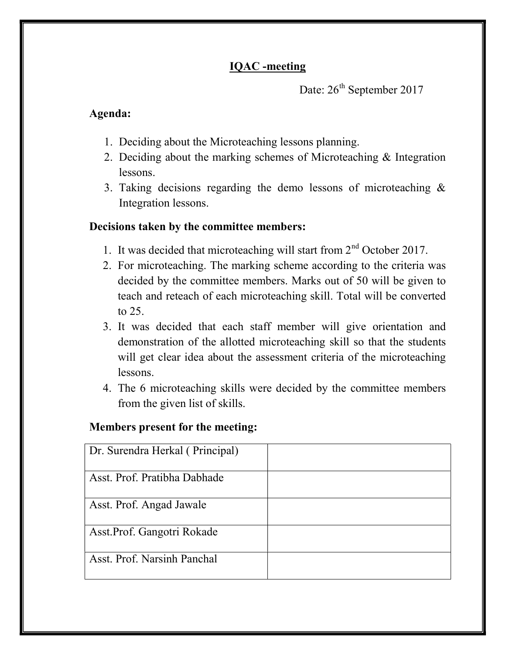Date: 26<sup>th</sup> September 2017

#### Agenda:

- 1. Deciding about the Microteaching lessons planning.
- 2. Deciding about the marking schemes of Microteaching & Integration lessons.
- 3. Taking decisions regarding the demo lessons of microteaching & Integration lessons.

#### Decisions taken by the committee members:

- 1. It was decided that microteaching will start from  $2<sup>nd</sup>$  October 2017.
- 2. For microteaching. The marking scheme according to the criteria was decided by the committee members. Marks out of 50 will be given to teach and reteach of each microteaching skill. Total will be converted to 25.
- 3. It was decided that each staff member will give orientation and demonstration of the allotted microteaching skill so that the students will get clear idea about the assessment criteria of the microteaching lessons.
- 4. The 6 microteaching skills were decided by the committee members from the given list of skills.

| Dr. Surendra Herkal (Principal) |  |
|---------------------------------|--|
|                                 |  |
| Asst. Prof. Pratibha Dabhade    |  |
|                                 |  |
| Asst. Prof. Angad Jawale        |  |
| Asst. Prof. Gangotri Rokade     |  |
|                                 |  |
| Asst. Prof. Narsinh Panchal     |  |
|                                 |  |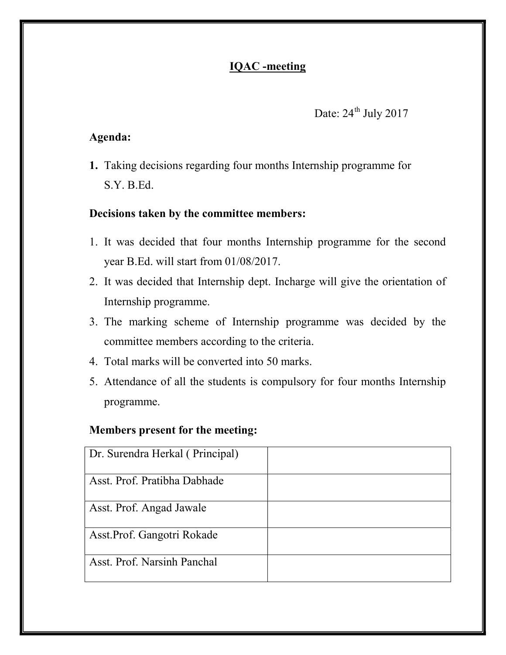#### Date:  $24^{th}$  July 2017

#### Agenda:

1. Taking decisions regarding four months Internship programme for S.Y. B.Ed.

#### Decisions taken by the committee members:

- 1. It was decided that four months Internship programme for the second year B.Ed. will start from 01/08/2017.
- 2. It was decided that Internship dept. Incharge will give the orientation of Internship programme.
- 3. The marking scheme of Internship programme was decided by the committee members according to the criteria.
- 4. Total marks will be converted into 50 marks.
- 5. Attendance of all the students is compulsory for four months Internship programme.

| Dr. Surendra Herkal (Principal) |  |
|---------------------------------|--|
| Asst. Prof. Pratibha Dabhade    |  |
| Asst. Prof. Angad Jawale        |  |
| Asst. Prof. Gangotri Rokade     |  |
| Asst. Prof. Narsinh Panchal     |  |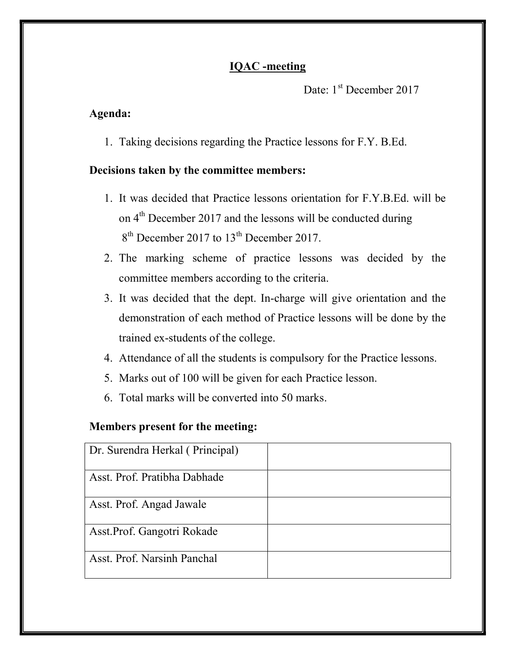Date: 1<sup>st</sup> December 2017

#### Agenda:

1. Taking decisions regarding the Practice lessons for F.Y. B.Ed.

#### Decisions taken by the committee members:

- 1. It was decided that Practice lessons orientation for F.Y.B.Ed. will be on 4<sup>th</sup> December 2017 and the lessons will be conducted during 8<sup>th</sup> December 2017 to 13<sup>th</sup> December 2017.
- 2. The marking scheme of practice lessons was decided by the committee members according to the criteria.
- 3. It was decided that the dept. In-charge will give orientation and the demonstration of each method of Practice lessons will be done by the trained ex-students of the college.
- 4. Attendance of all the students is compulsory for the Practice lessons.
- 5. Marks out of 100 will be given for each Practice lesson.
- 6. Total marks will be converted into 50 marks.

| Dr. Surendra Herkal (Principal) |  |
|---------------------------------|--|
| Asst. Prof. Pratibha Dabhade    |  |
| Asst. Prof. Angad Jawale        |  |
| Asst. Prof. Gangotri Rokade     |  |
| Asst. Prof. Narsinh Panchal     |  |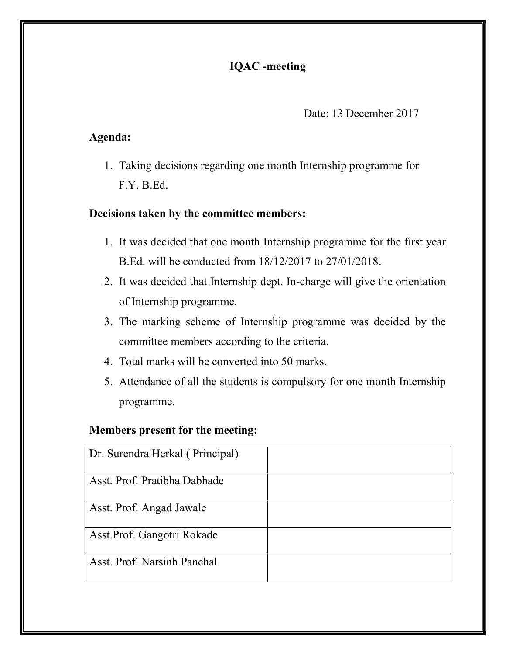Date: 13 December 2017

#### Agenda:

1. Taking decisions regarding one month Internship programme for F.Y. B.Ed.

#### Decisions taken by the committee members:

- 1. It was decided that one month Internship programme for the first year B.Ed. will be conducted from 18/12/2017 to 27/01/2018.
- 2. It was decided that Internship dept. In-charge will give the orientation of Internship programme.
- 3. The marking scheme of Internship programme was decided by the committee members according to the criteria.
- 4. Total marks will be converted into 50 marks.
- 5. Attendance of all the students is compulsory for one month Internship programme.

| Dr. Surendra Herkal (Principal) |  |
|---------------------------------|--|
| Asst. Prof. Pratibha Dabhade    |  |
| Asst. Prof. Angad Jawale        |  |
| Asst. Prof. Gangotri Rokade     |  |
| Asst. Prof. Narsinh Panchal     |  |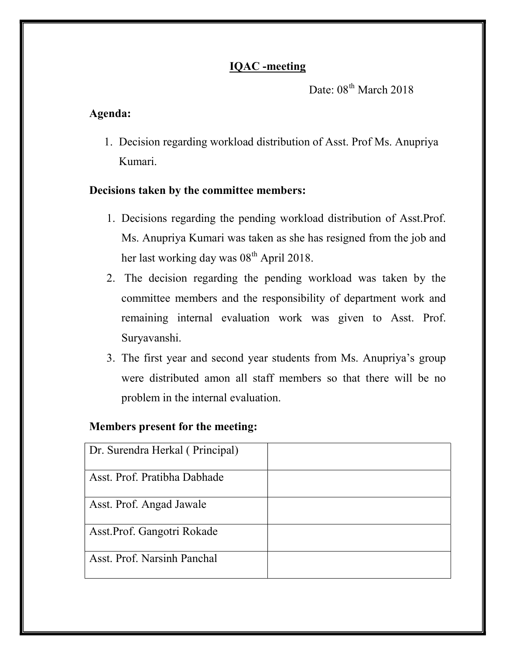Date:  $08<sup>th</sup>$  March 2018

#### Agenda:

1. Decision regarding workload distribution of Asst. Prof Ms. Anupriya Kumari.

#### Decisions taken by the committee members:

- 1. Decisions regarding the pending workload distribution of Asst.Prof. Ms. Anupriya Kumari was taken as she has resigned from the job and her last working day was  $08<sup>th</sup>$  April 2018.
- 2. The decision regarding the pending workload was taken by the committee members and the responsibility of department work and remaining internal evaluation work was given to Asst. Prof. Suryavanshi.
- 3. The first year and second year students from Ms. Anupriya's group were distributed amon all staff members so that there will be no problem in the internal evaluation.

| Dr. Surendra Herkal (Principal) |  |
|---------------------------------|--|
| Asst. Prof. Pratibha Dabhade    |  |
| Asst. Prof. Angad Jawale        |  |
| Asst. Prof. Gangotri Rokade     |  |
| Asst. Prof. Narsinh Panchal     |  |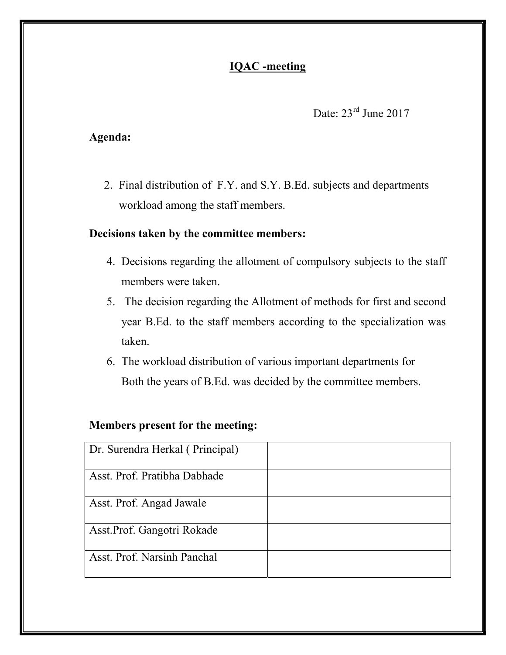#### Date:  $23^{\text{rd}}$  June 2017

#### Agenda:

2. Final distribution of F.Y. and S.Y. B.Ed. subjects and departments workload among the staff members.

#### Decisions taken by the committee members:

- 4. Decisions regarding the allotment of compulsory subjects to the staff members were taken.
- 5. The decision regarding the Allotment of methods for first and second year B.Ed. to the staff members according to the specialization was taken.
- 6. The workload distribution of various important departments for Both the years of B.Ed. was decided by the committee members.

| Dr. Surendra Herkal (Principal) |  |
|---------------------------------|--|
| Asst. Prof. Pratibha Dabhade    |  |
| Asst. Prof. Angad Jawale        |  |
| Asst. Prof. Gangotri Rokade     |  |
| Asst. Prof. Narsinh Panchal     |  |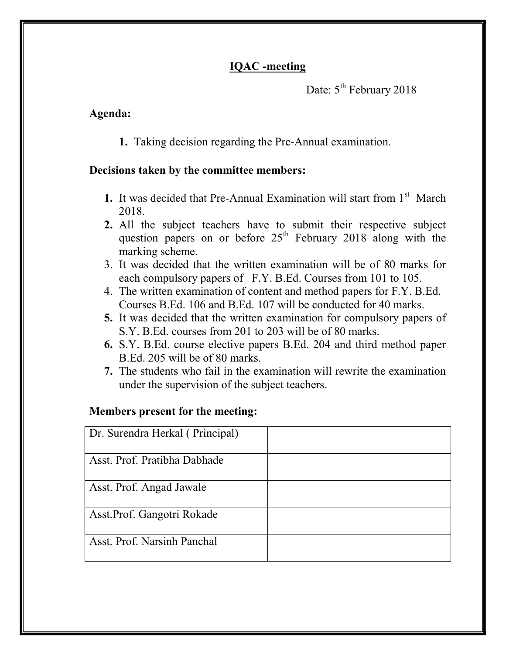Date:  $5^{th}$  February 2018

#### Agenda:

1. Taking decision regarding the Pre-Annual examination.

#### Decisions taken by the committee members:

- 1. It was decided that Pre-Annual Examination will start from  $1<sup>st</sup>$  March 2018.
- 2. All the subject teachers have to submit their respective subject question papers on or before  $25<sup>th</sup>$  February 2018 along with the marking scheme.
- 3. It was decided that the written examination will be of 80 marks for each compulsory papers of F.Y. B.Ed. Courses from 101 to 105.
- 4. The written examination of content and method papers for F.Y. B.Ed. Courses B.Ed. 106 and B.Ed. 107 will be conducted for 40 marks.
- 5. It was decided that the written examination for compulsory papers of S.Y. B.Ed. courses from 201 to 203 will be of 80 marks.
- 6. S.Y. B.Ed. course elective papers B.Ed. 204 and third method paper B.Ed. 205 will be of 80 marks.
- 7. The students who fail in the examination will rewrite the examination under the supervision of the subject teachers.

| Dr. Surendra Herkal (Principal) |  |
|---------------------------------|--|
| Asst. Prof. Pratibha Dabhade    |  |
| Asst. Prof. Angad Jawale        |  |
| Asst. Prof. Gangotri Rokade     |  |
| Asst. Prof. Narsinh Panchal     |  |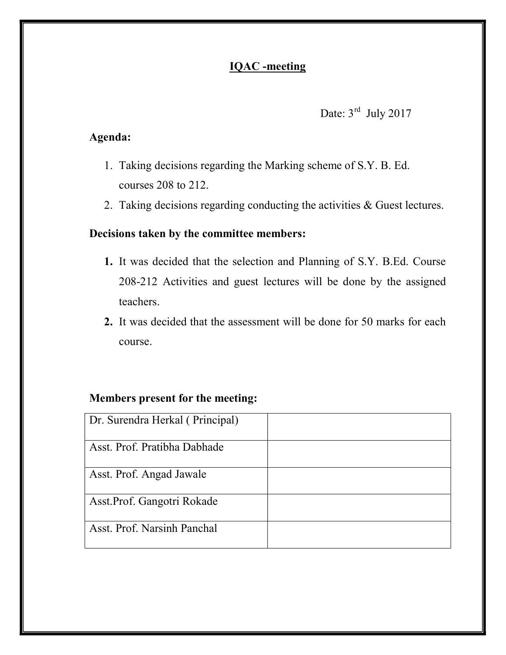#### Date:  $3<sup>rd</sup>$  July 2017

#### Agenda:

- 1. Taking decisions regarding the Marking scheme of S.Y. B. Ed. courses 208 to 212.
- 2. Taking decisions regarding conducting the activities & Guest lectures.

#### Decisions taken by the committee members:

- 1. It was decided that the selection and Planning of S.Y. B.Ed. Course 208-212 Activities and guest lectures will be done by the assigned teachers.
- 2. It was decided that the assessment will be done for 50 marks for each course.

| Dr. Surendra Herkal (Principal) |  |
|---------------------------------|--|
| Asst. Prof. Pratibha Dabhade    |  |
| Asst. Prof. Angad Jawale        |  |
| Asst. Prof. Gangotri Rokade     |  |
| Asst. Prof. Narsinh Panchal     |  |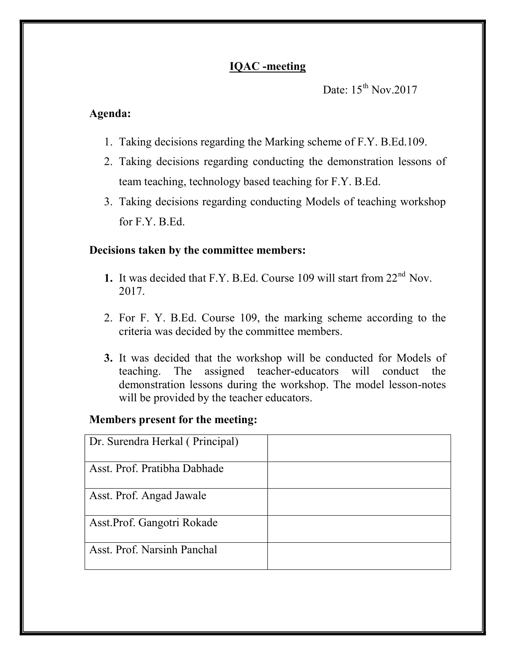```
Date: 15^{th} Nov.2017
```
#### Agenda:

- 1. Taking decisions regarding the Marking scheme of F.Y. B.Ed.109.
- 2. Taking decisions regarding conducting the demonstration lessons of team teaching, technology based teaching for F.Y. B.Ed.
- 3. Taking decisions regarding conducting Models of teaching workshop for F.Y. B.Ed.

#### Decisions taken by the committee members:

- 1. It was decided that F.Y. B.Ed. Course 109 will start from 22<sup>nd</sup> Nov. 2017.
- 2. For F. Y. B.Ed. Course 109, the marking scheme according to the criteria was decided by the committee members.
- 3. It was decided that the workshop will be conducted for Models of teaching. The assigned teacher-educators will conduct the demonstration lessons during the workshop. The model lesson-notes will be provided by the teacher educators.

| Dr. Surendra Herkal (Principal) |  |
|---------------------------------|--|
| Asst. Prof. Pratibha Dabhade    |  |
| Asst. Prof. Angad Jawale        |  |
| Asst. Prof. Gangotri Rokade     |  |
| Asst. Prof. Narsinh Panchal     |  |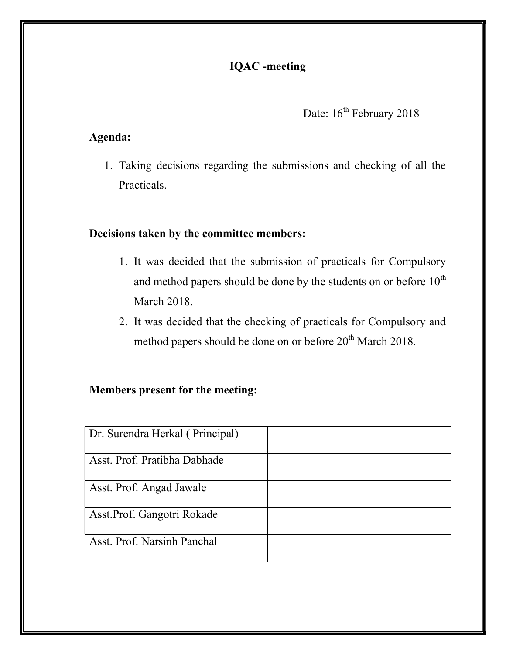#### Date:  $16^{th}$  February 2018

#### Agenda:

1. Taking decisions regarding the submissions and checking of all the Practicals.

#### Decisions taken by the committee members:

- 1. It was decided that the submission of practicals for Compulsory and method papers should be done by the students on or before  $10^{th}$ March 2018.
- 2. It was decided that the checking of practicals for Compulsory and method papers should be done on or before 20<sup>th</sup> March 2018.

| Dr. Surendra Herkal (Principal) |  |
|---------------------------------|--|
|                                 |  |
| Asst. Prof. Pratibha Dabhade    |  |
| Asst. Prof. Angad Jawale        |  |
| Asst. Prof. Gangotri Rokade     |  |
| Asst. Prof. Narsinh Panchal     |  |